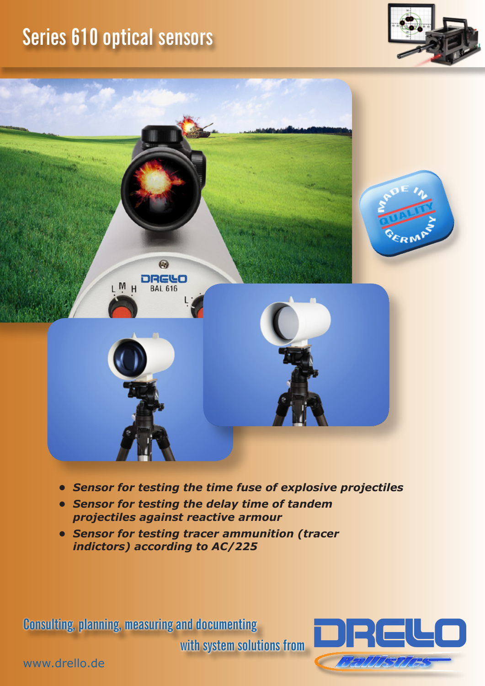## **Series 610 optical sensors**





- *• Sensor for testing the time fuse of explosive projectiles*
- *• Sensor for testing the delay time of tandem projectiles against reactive armour*
- *• Sensor for testing tracer ammunition (tracer indictors) according to AC/225*

**Consulting, planning, measuring and documenting** 

**with system solutions from**



www.drello.de